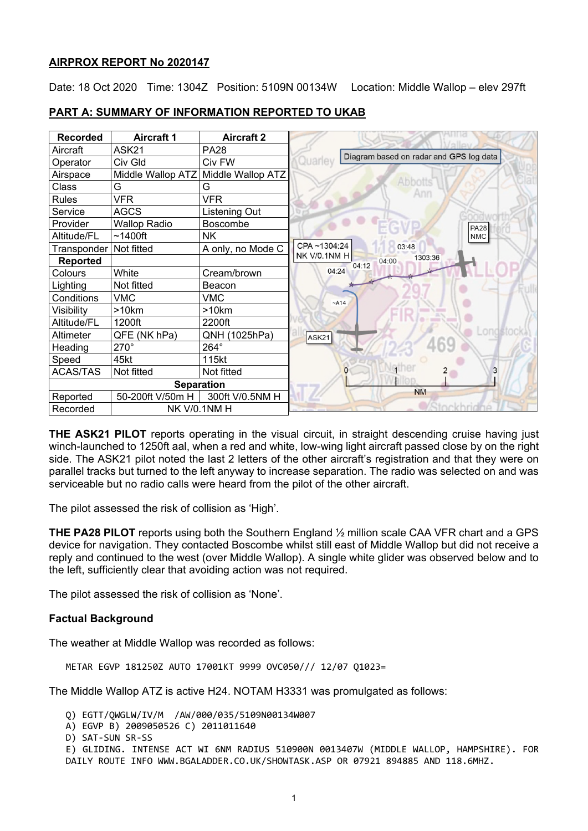## **AIRPROX REPORT No 2020147**

Date: 18 Oct 2020 Time: 1304Z Position: 5109N 00134W Location: Middle Wallop – elev 297ft

| <b>Recorded</b>                 | <b>Aircraft 1</b>   | <b>Aircraft 2</b> |                                                    |
|---------------------------------|---------------------|-------------------|----------------------------------------------------|
| Aircraft                        | ASK21               | <b>PA28</b>       |                                                    |
| Operator                        | Civ Gld             | Civ FW            | Diagram based on radar and GPS log data<br>Quarley |
| Airspace                        | Middle Wallop ATZ   | Middle Wallop ATZ |                                                    |
| Class                           | G                   | G                 | <b>Abbotts</b>                                     |
| <b>Rules</b>                    | <b>VFR</b>          | <b>VFR</b>        | Ann                                                |
| Service                         | <b>AGCS</b>         | Listening Out     |                                                    |
| Provider                        | <b>Wallop Radio</b> | Boscombe          | <b>PA28</b>                                        |
| Altitude/FL                     | $~1400$ ft          | NK.               | <b>NMC</b>                                         |
| Transponder                     | Not fitted          | A only, no Mode C | CPA~1304:24<br>03:48                               |
| <b>Reported</b>                 |                     |                   | <b>NK V/0.1NM H</b><br>1303:36<br>04:00<br>04:12   |
| Colours                         | White               | Cream/brown       | 04:24                                              |
| Lighting                        | Not fitted          | Beacon            |                                                    |
| Conditions                      | <b>VMC</b>          | <b>VMC</b>        | $-A14$                                             |
| Visibility                      | >10km               | >10km             |                                                    |
| Altitude/FL                     | 1200ft              | 2200ft            |                                                    |
| Altimeter                       | QFE (NK hPa)        | QNH (1025hPa)     | ASK21                                              |
| Heading                         | $270^\circ$         | 264°              |                                                    |
| Speed                           | 45kt                | 115kt             |                                                    |
| <b>ACAS/TAS</b>                 | Not fitted          | Not fitted        | 3                                                  |
| <b>Separation</b>               |                     |                   |                                                    |
| Reported                        | 50-200ft V/50m H    | 300ft V/0.5NM H   | <b>NM</b>                                          |
| <b>NK V/0.1NM H</b><br>Recorded |                     |                   |                                                    |

# **PART A: SUMMARY OF INFORMATION REPORTED TO UKAB**

**THE ASK21 PILOT** reports operating in the visual circuit, in straight descending cruise having just winch-launched to 1250ft aal, when a red and white, low-wing light aircraft passed close by on the right side. The ASK21 pilot noted the last 2 letters of the other aircraft's registration and that they were on parallel tracks but turned to the left anyway to increase separation. The radio was selected on and was serviceable but no radio calls were heard from the pilot of the other aircraft.

The pilot assessed the risk of collision as 'High'.

**THE PA28 PILOT** reports using both the Southern England ½ million scale CAA VFR chart and a GPS device for navigation. They contacted Boscombe whilst still east of Middle Wallop but did not receive a reply and continued to the west (over Middle Wallop). A single white glider was observed below and to the left, sufficiently clear that avoiding action was not required.

The pilot assessed the risk of collision as 'None'.

# **Factual Background**

The weather at Middle Wallop was recorded as follows:

METAR EGVP 181250Z AUTO 17001KT 9999 OVC050/// 12/07 Q1023=

The Middle Wallop ATZ is active H24. NOTAM H3331 was promulgated as follows:

Q) EGTT/QWGLW/IV/M /AW/000/035/5109N00134W007

A) EGVP B) 2009050526 C) 2011011640

E) GLIDING. INTENSE ACT WI 6NM RADIUS 510900N 0013407W (MIDDLE WALLOP, HAMPSHIRE). FOR DAILY ROUTE INFO WWW.BGALADDER.CO.UK/SHOWTASK.ASP OR 07921 894885 AND 118.6MHZ.

D) SAT-SUN SR-SS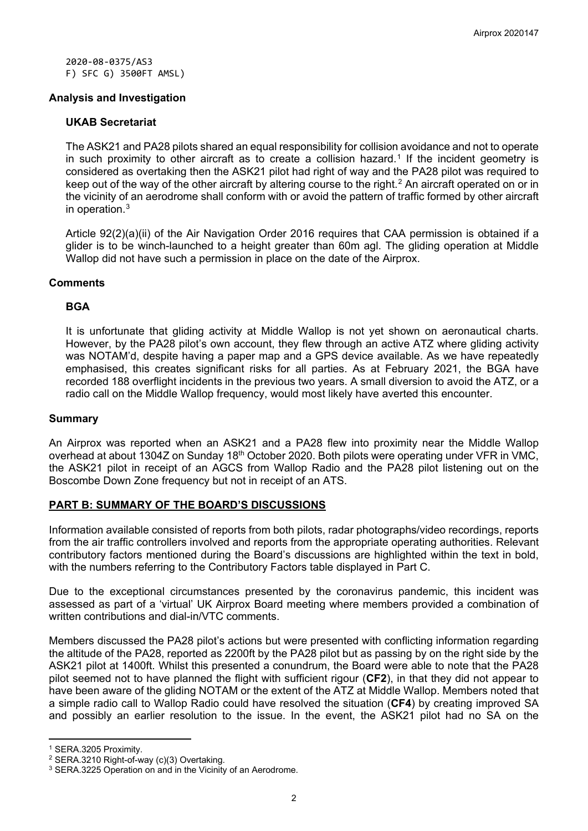2020-08-0375/AS3 F) SFC G) 3500FT AMSL)

# **Analysis and Investigation**

## **UKAB Secretariat**

The ASK21 and PA28 pilots shared an equal responsibility for collision avoidance and not to operate in such proximity to other aircraft as to create a collision hazard.<sup>[1](#page-1-0)</sup> If the incident geometry is considered as overtaking then the ASK21 pilot had right of way and the PA28 pilot was required to keep out of the way of the other aircraft by altering course to the right.<sup>[2](#page-1-1)</sup> An aircraft operated on or in the vicinity of an aerodrome shall conform with or avoid the pattern of traffic formed by other aircraft in operation.[3](#page-1-2)

Article 92(2)(a)(ii) of the Air Navigation Order 2016 requires that CAA permission is obtained if a glider is to be winch-launched to a height greater than 60m agl. The gliding operation at Middle Wallop did not have such a permission in place on the date of the Airprox.

## **Comments**

## **BGA**

It is unfortunate that gliding activity at Middle Wallop is not yet shown on aeronautical charts. However, by the PA28 pilot's own account, they flew through an active ATZ where gliding activity was NOTAM'd, despite having a paper map and a GPS device available. As we have repeatedly emphasised, this creates significant risks for all parties. As at February 2021, the BGA have recorded 188 overflight incidents in the previous two years. A small diversion to avoid the ATZ, or a radio call on the Middle Wallop frequency, would most likely have averted this encounter.

#### **Summary**

An Airprox was reported when an ASK21 and a PA28 flew into proximity near the Middle Wallop overhead at about 1304Z on Sunday 18<sup>th</sup> October 2020. Both pilots were operating under VFR in VMC, the ASK21 pilot in receipt of an AGCS from Wallop Radio and the PA28 pilot listening out on the Boscombe Down Zone frequency but not in receipt of an ATS.

# **PART B: SUMMARY OF THE BOARD'S DISCUSSIONS**

Information available consisted of reports from both pilots, radar photographs/video recordings, reports from the air traffic controllers involved and reports from the appropriate operating authorities. Relevant contributory factors mentioned during the Board's discussions are highlighted within the text in bold, with the numbers referring to the Contributory Factors table displayed in Part C.

Due to the exceptional circumstances presented by the coronavirus pandemic, this incident was assessed as part of a 'virtual' UK Airprox Board meeting where members provided a combination of written contributions and dial-in/VTC comments.

Members discussed the PA28 pilot's actions but were presented with conflicting information regarding the altitude of the PA28, reported as 2200ft by the PA28 pilot but as passing by on the right side by the ASK21 pilot at 1400ft. Whilst this presented a conundrum, the Board were able to note that the PA28 pilot seemed not to have planned the flight with sufficient rigour (**CF2**), in that they did not appear to have been aware of the gliding NOTAM or the extent of the ATZ at Middle Wallop. Members noted that a simple radio call to Wallop Radio could have resolved the situation (**CF4**) by creating improved SA and possibly an earlier resolution to the issue. In the event, the ASK21 pilot had no SA on the

<span id="page-1-1"></span><span id="page-1-0"></span><sup>&</sup>lt;sup>1</sup> SERA.3205 Proximity.<br><sup>2</sup> SERA.3210 Right-of-way (c)(3) Overtaking.

<span id="page-1-2"></span><sup>&</sup>lt;sup>3</sup> SERA.3225 Operation on and in the Vicinity of an Aerodrome.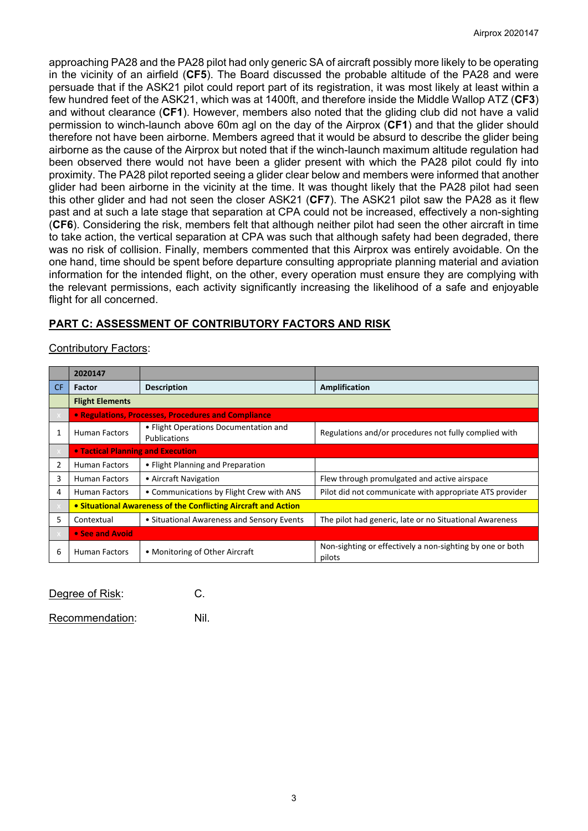approaching PA28 and the PA28 pilot had only generic SA of aircraft possibly more likely to be operating in the vicinity of an airfield (**CF5**). The Board discussed the probable altitude of the PA28 and were persuade that if the ASK21 pilot could report part of its registration, it was most likely at least within a few hundred feet of the ASK21, which was at 1400ft, and therefore inside the Middle Wallop ATZ (**CF3**) and without clearance (**CF1**). However, members also noted that the gliding club did not have a valid permission to winch-launch above 60m agl on the day of the Airprox (**CF1**) and that the glider should therefore not have been airborne. Members agreed that it would be absurd to describe the glider being airborne as the cause of the Airprox but noted that if the winch-launch maximum altitude regulation had been observed there would not have been a glider present with which the PA28 pilot could fly into proximity. The PA28 pilot reported seeing a glider clear below and members were informed that another glider had been airborne in the vicinity at the time. It was thought likely that the PA28 pilot had seen this other glider and had not seen the closer ASK21 (**CF7**). The ASK21 pilot saw the PA28 as it flew past and at such a late stage that separation at CPA could not be increased, effectively a non-sighting (**CF6**). Considering the risk, members felt that although neither pilot had seen the other aircraft in time to take action, the vertical separation at CPA was such that although safety had been degraded, there was no risk of collision. Finally, members commented that this Airprox was entirely avoidable. On the one hand, time should be spent before departure consulting appropriate planning material and aviation information for the intended flight, on the other, every operation must ensure they are complying with the relevant permissions, each activity significantly increasing the likelihood of a safe and enjoyable flight for all concerned.

# **PART C: ASSESSMENT OF CONTRIBUTORY FACTORS AND RISK**

## **Contributory Factors:**

|                | 2020147                                                          |                                                              |                                                                     |  |  |  |  |  |
|----------------|------------------------------------------------------------------|--------------------------------------------------------------|---------------------------------------------------------------------|--|--|--|--|--|
| CF.            | <b>Description</b><br><b>Factor</b>                              |                                                              | Amplification                                                       |  |  |  |  |  |
|                | <b>Flight Elements</b>                                           |                                                              |                                                                     |  |  |  |  |  |
|                | • Regulations, Processes, Procedures and Compliance              |                                                              |                                                                     |  |  |  |  |  |
|                | <b>Human Factors</b>                                             | • Flight Operations Documentation and<br><b>Publications</b> | Regulations and/or procedures not fully complied with               |  |  |  |  |  |
|                | • Tactical Planning and Execution                                |                                                              |                                                                     |  |  |  |  |  |
| $\overline{2}$ | Human Factors                                                    | • Flight Planning and Preparation                            |                                                                     |  |  |  |  |  |
| 3              | <b>Human Factors</b>                                             | • Aircraft Navigation                                        | Flew through promulgated and active airspace                        |  |  |  |  |  |
| 4              | • Communications by Flight Crew with ANS<br><b>Human Factors</b> |                                                              | Pilot did not communicate with appropriate ATS provider             |  |  |  |  |  |
|                | • Situational Awareness of the Conflicting Aircraft and Action   |                                                              |                                                                     |  |  |  |  |  |
| 5              | Contextual                                                       | • Situational Awareness and Sensory Events                   | The pilot had generic, late or no Situational Awareness             |  |  |  |  |  |
|                | • See and Avoid                                                  |                                                              |                                                                     |  |  |  |  |  |
| 6              | <b>Human Factors</b>                                             | • Monitoring of Other Aircraft                               | Non-sighting or effectively a non-sighting by one or both<br>pilots |  |  |  |  |  |

| Degree of Risk: | C.  |
|-----------------|-----|
| Recommendation: | Nil |